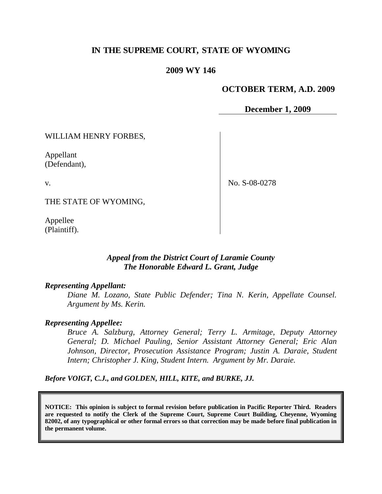# **IN THE SUPREME COURT, STATE OF WYOMING**

### **2009 WY 146**

### **OCTOBER TERM, A.D. 2009**

**December 1, 2009**

WILLIAM HENRY FORBES,

Appellant (Defendant),

v.

No. S-08-0278

THE STATE OF WYOMING,

Appellee (Plaintiff).

# *Appeal from the District Court of Laramie County The Honorable Edward L. Grant, Judge*

#### *Representing Appellant:*

*Diane M. Lozano, State Public Defender; Tina N. Kerin, Appellate Counsel. Argument by Ms. Kerin.*

### *Representing Appellee:*

*Bruce A. Salzburg, Attorney General; Terry L. Armitage, Deputy Attorney General; D. Michael Pauling, Senior Assistant Attorney General; Eric Alan Johnson, Director, Prosecution Assistance Program; Justin A. Daraie, Student Intern; Christopher J. King, Student Intern. Argument by Mr. Daraie.*

*Before VOIGT, C.J., and GOLDEN, HILL, KITE, and BURKE, JJ.*

**NOTICE: This opinion is subject to formal revision before publication in Pacific Reporter Third. Readers are requested to notify the Clerk of the Supreme Court, Supreme Court Building, Cheyenne, Wyoming 82002, of any typographical or other formal errors so that correction may be made before final publication in the permanent volume.**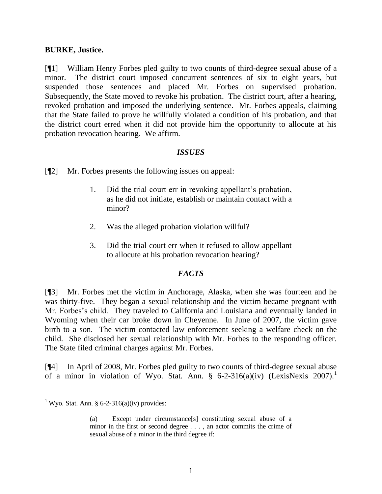### **BURKE, Justice.**

[¶1] William Henry Forbes pled guilty to two counts of third-degree sexual abuse of a minor. The district court imposed concurrent sentences of six to eight years, but suspended those sentences and placed Mr. Forbes on supervised probation. Subsequently, the State moved to revoke his probation. The district court, after a hearing, revoked probation and imposed the underlying sentence. Mr. Forbes appeals, claiming that the State failed to prove he willfully violated a condition of his probation, and that the district court erred when it did not provide him the opportunity to allocute at his probation revocation hearing. We affirm.

## *ISSUES*

[¶2] Mr. Forbes presents the following issues on appeal:

- 1. Did the trial court err in revoking appellant's probation, as he did not initiate, establish or maintain contact with a minor?
- 2. Was the alleged probation violation willful?
- 3. Did the trial court err when it refused to allow appellant to allocute at his probation revocation hearing?

# *FACTS*

[¶3] Mr. Forbes met the victim in Anchorage, Alaska, when she was fourteen and he was thirty-five. They began a sexual relationship and the victim became pregnant with Mr. Forbes's child. They traveled to California and Louisiana and eventually landed in Wyoming when their car broke down in Cheyenne. In June of 2007, the victim gave birth to a son. The victim contacted law enforcement seeking a welfare check on the child. She disclosed her sexual relationship with Mr. Forbes to the responding officer. The State filed criminal charges against Mr. Forbes.

[¶4] In April of 2008, Mr. Forbes pled guilty to two counts of third-degree sexual abuse of a minor in violation of Wyo. Stat. Ann. § 6-2-316(a)(iv) (LexisNexis 2007).<sup>1</sup>

 $\overline{a}$ 

<sup>&</sup>lt;sup>1</sup> Wyo. Stat. Ann. § 6-2-316(a)(iv) provides:

<sup>(</sup>a) Except under circumstance[s] constituting sexual abuse of a minor in the first or second degree . . . , an actor commits the crime of sexual abuse of a minor in the third degree if: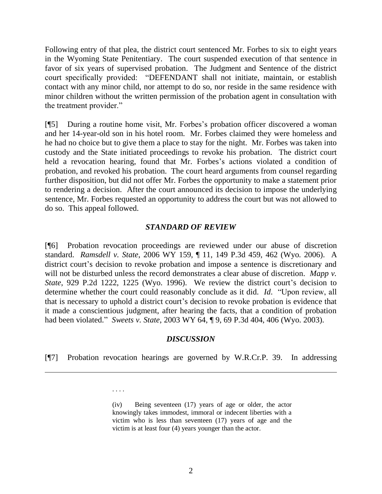Following entry of that plea, the district court sentenced Mr. Forbes to six to eight years in the Wyoming State Penitentiary. The court suspended execution of that sentence in favor of six years of supervised probation. The Judgment and Sentence of the district court specifically provided: "DEFENDANT shall not initiate, maintain, or establish contact with any minor child, nor attempt to do so, nor reside in the same residence with minor children without the written permission of the probation agent in consultation with the treatment provider."

[¶5] During a routine home visit, Mr. Forbes's probation officer discovered a woman and her 14-year-old son in his hotel room. Mr. Forbes claimed they were homeless and he had no choice but to give them a place to stay for the night. Mr. Forbes was taken into custody and the State initiated proceedings to revoke his probation. The district court held a revocation hearing, found that Mr. Forbes's actions violated a condition of probation, and revoked his probation. The court heard arguments from counsel regarding further disposition, but did not offer Mr. Forbes the opportunity to make a statement prior to rendering a decision. After the court announced its decision to impose the underlying sentence, Mr. Forbes requested an opportunity to address the court but was not allowed to do so. This appeal followed.

## *STANDARD OF REVIEW*

[¶6] Probation revocation proceedings are reviewed under our abuse of discretion standard. *Ramsdell v. State*, 2006 WY 159, ¶ 11, 149 P.3d 459, 462 (Wyo. 2006). A district court's decision to revoke probation and impose a sentence is discretionary and will not be disturbed unless the record demonstrates a clear abuse of discretion. *Mapp v*. *State*, [929 P.2d 1222,](http://wyomcases.courts.state.wy.us/applications/oscn/deliverdocument.asp?citeid=123513) 1225 (Wyo. 1996). We review the district court's decision to determine whether the court could reasonably conclude as it did. *Id.* "Upon review, all that is necessary to uphold a district court's decision to revoke probation is evidence that it made a conscientious judgment, after hearing the facts, that a condition of probation had been violated." *Sweets v. State*, 2003 WY 64, ¶ 9, 69 P.3d 404, 406 (Wyo. 2003).

## *DISCUSSION*

[¶7] Probation revocation hearings are governed by W.R.Cr.P. 39. In addressing

 $\overline{a}$ 

. . . .

(iv) Being seventeen (17) years of age or older, the actor knowingly takes immodest, immoral or indecent liberties with a victim who is less than seventeen (17) years of age and the victim is at least four (4) years younger than the actor.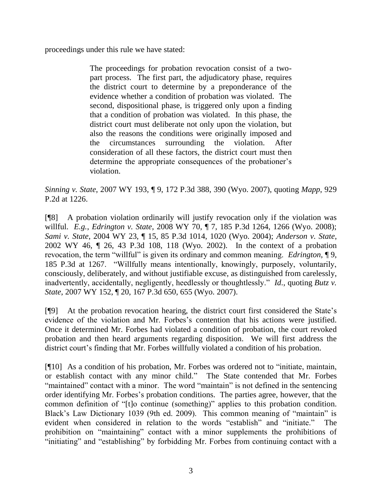proceedings under this rule we have stated:

The proceedings for probation revocation consist of a twopart process. The first part, the adjudicatory phase, requires the district court to determine by a preponderance of the evidence whether a condition of probation was violated. The second, dispositional phase, is triggered only upon a finding that a condition of probation was violated. In this phase, the district court must deliberate not only upon the violation, but also the reasons the conditions were originally imposed and the circumstances surrounding the violation. After consideration of all these factors, the district court must then determine the appropriate consequences of the probationer's violation.

*Sinning v. State*, 2007 WY 193, ¶ 9, 172 P.3d 388, 390 (Wyo. 2007), quoting *Mapp*, 929 P.2d at 1226.

[¶8] A probation violation ordinarily will justify revocation only if the violation was willful. *E.g.*, *Edrington v. State*, 2008 WY 70, ¶ 7, 185 P.3d 1264, 1266 (Wyo. 2008); *Sami v. State*, 2004 WY 23, ¶ 15, 85 P.3d 1014, 1020 (Wyo. 2004); *Anderson v. State*, 2002 WY 46, ¶ 26, 43 P.3d 108, 118 (Wyo. 2002). In the context of a probation revocation, the term "willful" is given its ordinary and common meaning. *Edrington*, ¶ 9, 185 P.3d at 1267. "Willfully means intentionally, knowingly, purposely, voluntarily, consciously, deliberately, and without justifiable excuse, as distinguished from carelessly, inadvertently, accidentally, negligently, heedlessly or thoughtlessly." *Id.*, quoting *Butz v. State*, 2007 WY 152, ¶ 20, 167 P.3d 650, 655 (Wyo. 2007).

[¶9] At the probation revocation hearing, the district court first considered the State's evidence of the violation and Mr. Forbes's contention that his actions were justified. Once it determined Mr. Forbes had violated a condition of probation, the court revoked probation and then heard arguments regarding disposition. We will first address the district court's finding that Mr. Forbes willfully violated a condition of his probation.

[¶10] As a condition of his probation, Mr. Forbes was ordered not to "initiate, maintain, or establish contact with any minor child." The State contended that Mr. Forbes "maintained" contact with a minor. The word "maintain" is not defined in the sentencing order identifying Mr. Forbes's probation conditions. The parties agree, however, that the common definition of "[t]o continue (something)" applies to this probation condition. Black's Law Dictionary 1039 (9th ed. 2009). This common meaning of "maintain" is evident when considered in relation to the words "establish" and "initiate." The prohibition on "maintaining" contact with a minor supplements the prohibitions of "initiating" and "establishing" by forbidding Mr. Forbes from continuing contact with a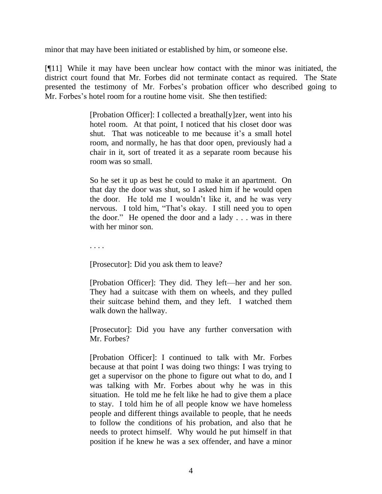minor that may have been initiated or established by him, or someone else.

[¶11] While it may have been unclear how contact with the minor was initiated, the district court found that Mr. Forbes did not terminate contact as required. The State presented the testimony of Mr. Forbes's probation officer who described going to Mr. Forbes's hotel room for a routine home visit. She then testified:

> [Probation Officer]: I collected a breathal[y]zer, went into his hotel room. At that point, I noticed that his closet door was shut. That was noticeable to me because it's a small hotel room, and normally, he has that door open, previously had a chair in it, sort of treated it as a separate room because his room was so small.

> So he set it up as best he could to make it an apartment. On that day the door was shut, so I asked him if he would open the door. He told me I wouldn't like it, and he was very nervous. I told him, "That's okay. I still need you to open the door." He opened the door and a lady  $\ldots$  was in there with her minor son.

. . . .

[Prosecutor]: Did you ask them to leave?

[Probation Officer]: They did. They left—her and her son. They had a suitcase with them on wheels, and they pulled their suitcase behind them, and they left. I watched them walk down the hallway.

[Prosecutor]: Did you have any further conversation with Mr. Forbes?

[Probation Officer]: I continued to talk with Mr. Forbes because at that point I was doing two things: I was trying to get a supervisor on the phone to figure out what to do, and I was talking with Mr. Forbes about why he was in this situation. He told me he felt like he had to give them a place to stay. I told him he of all people know we have homeless people and different things available to people, that he needs to follow the conditions of his probation, and also that he needs to protect himself. Why would he put himself in that position if he knew he was a sex offender, and have a minor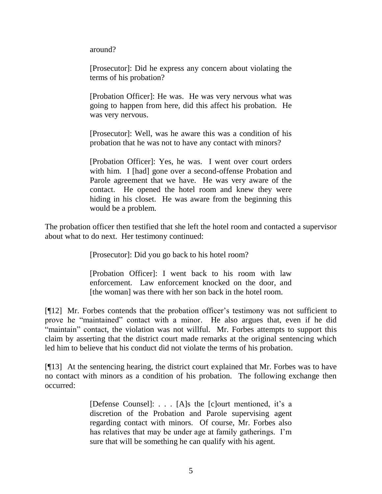around?

[Prosecutor]: Did he express any concern about violating the terms of his probation?

[Probation Officer]: He was. He was very nervous what was going to happen from here, did this affect his probation. He was very nervous.

[Prosecutor]: Well, was he aware this was a condition of his probation that he was not to have any contact with minors?

[Probation Officer]: Yes, he was. I went over court orders with him. I [had] gone over a second-offense Probation and Parole agreement that we have. He was very aware of the contact. He opened the hotel room and knew they were hiding in his closet. He was aware from the beginning this would be a problem.

The probation officer then testified that she left the hotel room and contacted a supervisor about what to do next. Her testimony continued:

[Prosecutor]: Did you go back to his hotel room?

[Probation Officer]: I went back to his room with law enforcement. Law enforcement knocked on the door, and [the woman] was there with her son back in the hotel room.

[¶12] Mr. Forbes contends that the probation officer's testimony was not sufficient to prove he "maintained" contact with a minor. He also argues that, even if he did "maintain" contact, the violation was not willful. Mr. Forbes attempts to support this claim by asserting that the district court made remarks at the original sentencing which led him to believe that his conduct did not violate the terms of his probation.

[¶13] At the sentencing hearing, the district court explained that Mr. Forbes was to have no contact with minors as a condition of his probation. The following exchange then occurred:

> [Defense Counsel]: . . . [A]s the [c]ourt mentioned, it's a discretion of the Probation and Parole supervising agent regarding contact with minors. Of course, Mr. Forbes also has relatives that may be under age at family gatherings. I'm sure that will be something he can qualify with his agent.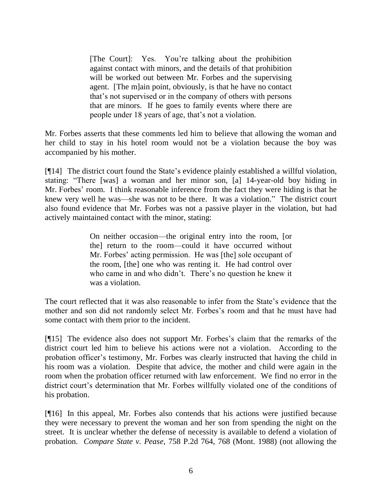[The Court]: Yes. You're talking about the prohibition against contact with minors, and the details of that prohibition will be worked out between Mr. Forbes and the supervising agent. [The m]ain point, obviously, is that he have no contact that's not supervised or in the company of others with persons that are minors. If he goes to family events where there are people under 18 years of age, that's not a violation.

Mr. Forbes asserts that these comments led him to believe that allowing the woman and her child to stay in his hotel room would not be a violation because the boy was accompanied by his mother.

[¶14] The district court found the State's evidence plainly established a willful violation, stating: "There [was] a woman and her minor son, [a] 14-year-old boy hiding in Mr. Forbes' room. I think reasonable inference from the fact they were hiding is that he knew very well he was—she was not to be there. It was a violation." The district court also found evidence that Mr. Forbes was not a passive player in the violation, but had actively maintained contact with the minor, stating:

> On neither occasion—the original entry into the room, [or the] return to the room—could it have occurred without Mr. Forbes' acting permission. He was [the] sole occupant of the room, [the] one who was renting it. He had control over who came in and who didn't. There's no question he knew it was a violation.

The court reflected that it was also reasonable to infer from the State's evidence that the mother and son did not randomly select Mr. Forbes's room and that he must have had some contact with them prior to the incident.

[¶15] The evidence also does not support Mr. Forbes's claim that the remarks of the district court led him to believe his actions were not a violation. According to the probation officer's testimony, Mr. Forbes was clearly instructed that having the child in his room was a violation. Despite that advice, the mother and child were again in the room when the probation officer returned with law enforcement. We find no error in the district court's determination that Mr. Forbes willfully violated one of the conditions of his probation.

[¶16] In this appeal, Mr. Forbes also contends that his actions were justified because they were necessary to prevent the woman and her son from spending the night on the street. It is unclear whether the defense of necessity is available to defend a violation of probation. *Compare State v. Pease*, 758 P.2d 764, 768 (Mont. 1988) (not allowing the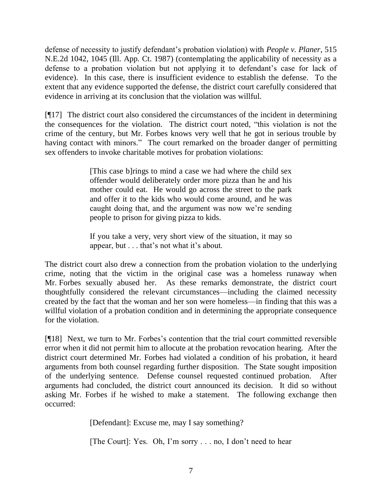defense of necessity to justify defendant's probation violation) with *People v. Planer*, 515 N.E.2d 1042, 1045 (Ill. App. Ct. 1987) (contemplating the applicability of necessity as a defense to a probation violation but not applying it to defendant's case for lack of evidence). In this case, there is insufficient evidence to establish the defense. To the extent that any evidence supported the defense, the district court carefully considered that evidence in arriving at its conclusion that the violation was willful.

[¶17] The district court also considered the circumstances of the incident in determining the consequences for the violation. The district court noted, "this violation is not the crime of the century, but Mr. Forbes knows very well that he got in serious trouble by having contact with minors." The court remarked on the broader danger of permitting sex offenders to invoke charitable motives for probation violations:

> [This case b]rings to mind a case we had where the child sex offender would deliberately order more pizza than he and his mother could eat. He would go across the street to the park and offer it to the kids who would come around, and he was caught doing that, and the argument was now we're sending people to prison for giving pizza to kids.

> If you take a very, very short view of the situation, it may so appear, but . . . that's not what it's about.

The district court also drew a connection from the probation violation to the underlying crime, noting that the victim in the original case was a homeless runaway when Mr. Forbes sexually abused her. As these remarks demonstrate, the district court thoughtfully considered the relevant circumstances—including the claimed necessity created by the fact that the woman and her son were homeless—in finding that this was a willful violation of a probation condition and in determining the appropriate consequence for the violation.

[¶18] Next, we turn to Mr. Forbes's contention that the trial court committed reversible error when it did not permit him to allocute at the probation revocation hearing. After the district court determined Mr. Forbes had violated a condition of his probation, it heard arguments from both counsel regarding further disposition. The State sought imposition of the underlying sentence. Defense counsel requested continued probation. After arguments had concluded, the district court announced its decision. It did so without asking Mr. Forbes if he wished to make a statement. The following exchange then occurred:

[Defendant]: Excuse me, may I say something?

[The Court]: Yes. Oh, I'm sorry . . . no, I don't need to hear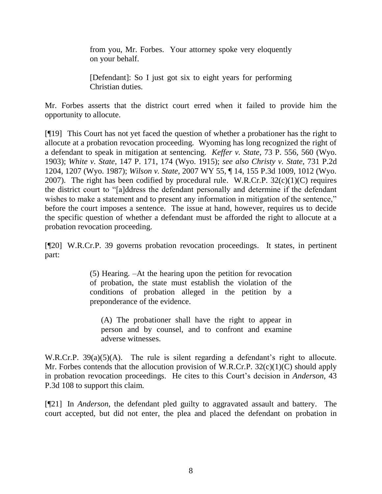from you, Mr. Forbes. Your attorney spoke very eloquently on your behalf.

[Defendant]: So I just got six to eight years for performing Christian duties.

Mr. Forbes asserts that the district court erred when it failed to provide him the opportunity to allocute.

[¶19] This Court has not yet faced the question of whether a probationer has the right to allocute at a probation revocation proceeding. Wyoming has long recognized the right of a defendant to speak in mitigation at sentencing. *Keffer v. State*, 73 P. 556, 560 (Wyo. 1903); *White v. State*, 147 P. 171, 174 (Wyo. 1915); *see also Christy v. State*, 731 P.2d 1204, 1207 (Wyo. 1987); *Wilson v. State*, 2007 WY 55, ¶ 14, 155 P.3d 1009, 1012 (Wyo. 2007). The right has been codified by procedural rule. W.R.Cr.P.  $32(c)(1)(C)$  requires the district court to "[a]ddress the defendant personally and determine if the defendant wishes to make a statement and to present any information in mitigation of the sentence," before the court imposes a sentence. The issue at hand, however, requires us to decide the specific question of whether a defendant must be afforded the right to allocute at a probation revocation proceeding.

[¶20] W.R.Cr.P. 39 governs probation revocation proceedings. It states, in pertinent part:

> (5) Hearing. –At the hearing upon the petition for revocation of probation, the state must establish the violation of the conditions of probation alleged in the petition by a preponderance of the evidence.

(A) The probationer shall have the right to appear in person and by counsel, and to confront and examine adverse witnesses.

W.R.Cr.P. 39(a)(5)(A). The rule is silent regarding a defendant's right to allocute. Mr. Forbes contends that the allocution provision of W.R.Cr.P. 32(c)(1)(C) should apply in probation revocation proceedings. He cites to this Court's decision in *Anderson*, 43 P.3d 108 to support this claim.

[¶21] In *Anderson*, the defendant pled guilty to aggravated assault and battery. The court accepted, but did not enter, the plea and placed the defendant on probation in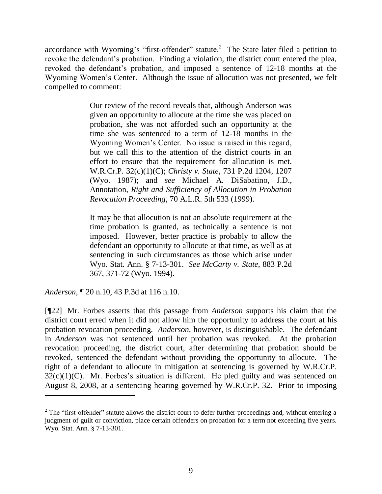accordance with Wyoming's "first-offender" statute.<sup>2</sup> The State later filed a petition to revoke the defendant's probation. Finding a violation, the district court entered the plea, revoked the defendant's probation, and imposed a sentence of 12-18 months at the Wyoming Women's Center. Although the issue of allocution was not presented, we felt compelled to comment:

> Our review of the record reveals that, although Anderson was given an opportunity to allocute at the time she was placed on probation, she was not afforded such an opportunity at the time she was sentenced to a term of 12-18 months in the Wyoming Women's Center. No issue is raised in this regard, but we call this to the attention of the district courts in an effort to ensure that the requirement for allocution is met. W.R.Cr.P. 32(c)(1)(C); *Christy v. State*, 731 P.2d 1204, 1207 (Wyo. 1987); and *see* Michael A. DiSabatino, J.D., Annotation, *Right and Sufficiency of Allocution in Probation Revocation Proceeding*, 70 A.L.R. 5th 533 (1999).

> It may be that allocution is not an absolute requirement at the time probation is granted, as technically a sentence is not imposed. However, better practice is probably to allow the defendant an opportunity to allocute at that time, as well as at sentencing in such circumstances as those which arise under Wyo. Stat. Ann. § 7-13-301. *See McCarty v. State*, 883 P.2d 367, 371-72 (Wyo. 1994).

*Anderson*, ¶ 20 n.10, 43 P.3d at 116 n.10.

 $\overline{a}$ 

[¶22] Mr. Forbes asserts that this passage from *Anderson* supports his claim that the district court erred when it did not allow him the opportunity to address the court at his probation revocation proceeding. *Anderson*, however, is distinguishable. The defendant in *Anderson* was not sentenced until her probation was revoked. At the probation revocation proceeding, the district court, after determining that probation should be revoked, sentenced the defendant without providing the opportunity to allocute. The right of a defendant to allocute in mitigation at sentencing is governed by W.R.Cr.P.  $32(c)(1)(C)$ . Mr. Forbes's situation is different. He pled guilty and was sentenced on August 8, 2008, at a sentencing hearing governed by W.R.Cr.P. 32. Prior to imposing

 $2$  The "first-offender" statute allows the district court to defer further proceedings and, without entering a judgment of guilt or conviction, place certain offenders on probation for a term not exceeding five years. Wyo. Stat. Ann. § 7-13-301.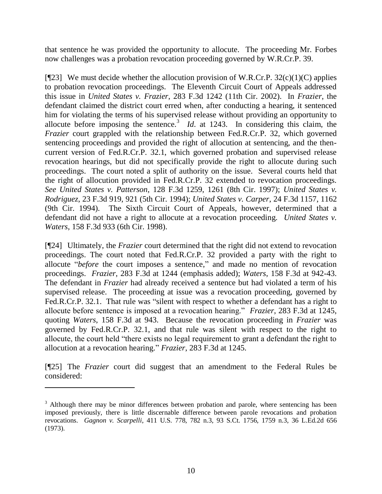that sentence he was provided the opportunity to allocute. The proceeding Mr. Forbes now challenges was a probation revocation proceeding governed by W.R.Cr.P. 39.

[ $[$ [23] We must decide whether the allocution provision of W.R.Cr.P. 32(c)(1)(C) applies to probation revocation proceedings. The Eleventh Circuit Court of Appeals addressed this issue in *United States v. Frazier*, 283 F.3d 1242 (11th Cir. 2002). In *Frazier*, the defendant claimed the district court erred when, after conducting a hearing, it sentenced him for violating the terms of his supervised release without providing an opportunity to allocute before imposing the sentence.<sup>3</sup> *Id.* at 1243. In considering this claim, the *Frazier* court grappled with the relationship between Fed.R.Cr.P. 32, which governed sentencing proceedings and provided the right of allocution at sentencing, and the thencurrent version of Fed.R.Cr.P. 32.1, which governed probation and supervised release revocation hearings, but did not specifically provide the right to allocute during such proceedings. The court noted a split of authority on the issue. Several courts held that the right of allocution provided in Fed.R.Cr.P. 32 extended to revocation proceedings. *See United States v. Patterson*, 128 F.3d 1259, 1261 (8th Cir. 1997); *United States v. Rodriguez*, 23 F.3d 919, 921 (5th Cir. 1994); *United States v. Carper*, 24 F.3d 1157, 1162 (9th Cir. 1994). The Sixth Circuit Court of Appeals, however, determined that a defendant did not have a right to allocute at a revocation proceeding. *United States v. Waters*, 158 F.3d 933 (6th Cir. 1998).

[¶24] Ultimately, the *Frazier* court determined that the right did not extend to revocation proceedings. The court noted that Fed.R.Cr.P. 32 provided a party with the right to allocute "*before* the court imposes a sentence," and made no mention of revocation proceedings. *Frazier*, 283 F.3d at 1244 (emphasis added); *Waters*, 158 F.3d at 942-43. The defendant in *Frazier* had already received a sentence but had violated a term of his supervised release. The proceeding at issue was a revocation proceeding, governed by Fed.R.Cr.P. 32.1. That rule was "silent with respect to whether a defendant has a right to allocute before sentence is imposed at a revocation hearing.‖ *Frazier*, 283 F.3d at 1245, quoting *Waters*, 158 F.3d at 943. Because the revocation proceeding in *Frazier* was governed by Fed.R.Cr.P. 32.1, and that rule was silent with respect to the right to allocute, the court held "there exists no legal requirement to grant a defendant the right to allocution at a revocation hearing.‖ *Frazier*, 283 F.3d at 1245.

[¶25] The *Frazier* court did suggest that an amendment to the Federal Rules be considered:

 $\overline{a}$ 

 $3$  Although there may be minor differences between probation and parole, where sentencing has been imposed previously, there is little discernable difference between parole revocations and probation revocations. *Gagnon v. Scarpelli*, 411 U.S. 778, 782 n.3, 93 S.Ct. 1756, 1759 n.3, 36 L.Ed.2d 656 (1973).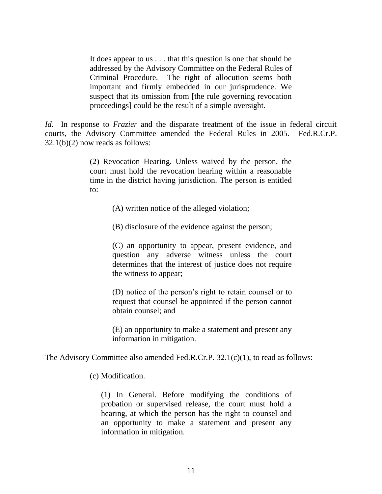It does appear to us . . . that this question is one that should be addressed by the Advisory Committee on the Federal Rules of Criminal Procedure. The right of allocution seems both important and firmly embedded in our jurisprudence. We suspect that its omission from [the rule governing revocation proceedings] could be the result of a simple oversight.

*Id.* In response to *Frazier* and the disparate treatment of the issue in federal circuit courts, the Advisory Committee amended the Federal Rules in 2005. Fed.R.Cr.P.  $32.1(b)(2)$  now reads as follows:

> (2) Revocation Hearing. Unless waived by the person, the court must hold the revocation hearing within a reasonable time in the district having jurisdiction. The person is entitled to:

> > (A) written notice of the alleged violation;

(B) disclosure of the evidence against the person;

(C) an opportunity to appear, present evidence, and question any adverse witness unless the court determines that the interest of justice does not require the witness to appear;

(D) notice of the person's right to retain counsel or to request that counsel be appointed if the person cannot obtain counsel; and

(E) an opportunity to make a statement and present any information in mitigation.

The Advisory Committee also amended Fed.R.Cr.P. 32.1(c)(1), to read as follows:

(c) Modification.

(1) In General. Before modifying the conditions of probation or supervised release, the court must hold a hearing, at which the person has the right to counsel and an opportunity to make a statement and present any information in mitigation.